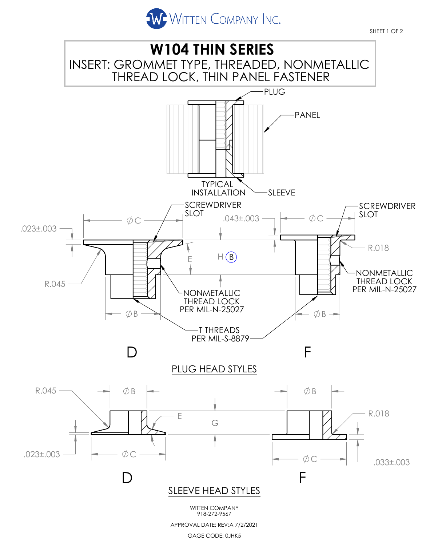



GAGE CODE: 0JHK5